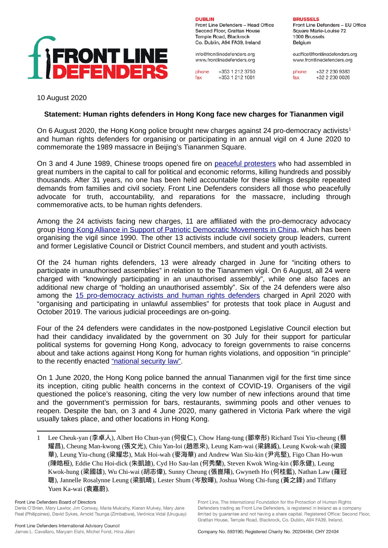

**DUBLIN** Front Line Defenders - Head Office Second Floor, Grattan House Temple Road, Blackrock Co. Dublin, A94 FA39, Ireland

info@frontlinedefenders.org www.frontlinedefenders.org

phone  $+353$  1 212 3750 +353 1 212 1001  $fax$ 

**BRUSSELS** 

Front Line Defenders - EU Office Square Marie-Louise 72 1000 Brussels Belgium

euoffice@frontlinedefenders.org www.frontlinedefenders.org

phone +32 2 230 9383 +32 2 230 0028  $fax$ 

10 August 2020

## **Statement: Human rights defenders in Hong Kong face new charges for Tiananmen vigil**

On 6 August 2020, the Hong Kong police brought new charges against 24 pro-democracy activists<sup>[1](#page-0-0)</sup> and human rights defenders for organising or participating in an annual vigil on 4 June 2020 to commemorate the 1989 massacre in Beijing's Tiananmen Square.

On 3 and 4 June 1989, Chinese troops opened fire on peaceful protesters who had assembled in great numbers in the capital to call for political and economic reforms, killing hundreds and possibly thousands. After 31 years, no one has been held accountable for these killings despite repeated demands from families and civil society. Front Line Defenders considers all those who peacefully advocate for truth, accountability, and reparations for the massacre, including through commemorative acts, to be human rights defenders.

Among the 24 activists facing new charges, 11 are affiliated with the pro-democracy advocacy group [Hong Kong Alliance in Support of Patriotic Democratic Movements in China,](https://hka8964.wordpress.com/) which has been organising the vigil since 1990. The other 13 activists include civil society group leaders, current and former Legislative Council or District Council members, and student and youth activists.

Of the 24 human rights defenders, 13 were already charged in June for "inciting others to participate in unauthorised assemblies" in relation to the Tiananmen vigil. On 6 August, all 24 were charged with "knowingly participating in an unauthorised assembly", while one also faces an additional new charge of "holding an unauthorised assembly". Six of the 24 defenders were also among the [15 pro-democracy activists and human rights defenders](https://www.frontlinedefenders.org/en/statement-report/arrests-human-rights-defenders-threaten-rights-freedom-assembly-and-expression-hong) charged in April 2020 with "organising and participating in unlawful assemblies" for protests that took place in August and October 2019. The various judicial proceedings are on-going.

Four of the 24 defenders were candidates in the now-postponed Legislative Council election but had their candidacy invalidated by the government on 30 July for their support for particular political systems for governing Hong Kong, advocacy to foreign governments to raise concerns about and take actions against Hong Kong for human rights violations, and opposition "in principle" to the recently enacted ["national security law".](https://www.frontlinedefenders.org/en/statement-report/robust-actions-needed-after-imposition-draconian-national-security-law-hong-kong)

On 1 June 2020, the Hong Kong police banned the annual Tiananmen vigil for the first time since its inception, citing public health concerns in the context of COVID-19. Organisers of the vigil questioned the police's reasoning, citing the very low number of new infections around that time and the government's permission for bars, restaurants, swimming pools and other venues to reopen. Despite the ban, on 3 and 4 June 2020, many gathered in Victoria Park where the vigil usually takes place, and other locations in Hong Kong.

Front Line, The International Foundation for the Protection of Human Rights

Defenders trading as Front Line Defenders, is registered in Ireland as a company

limited by quarantee and not having a share capital. Registered Office: Second Floor.

<span id="page-0-0"></span><sup>1</sup> Lee Cheuk-yan (李卓人), Albert Ho Chun-yan (何俊仁), Chow Hang-tung (鄒幸彤) Richard Tsoi Yiu-cheung (蔡 耀昌), Cheung Man-kwong (張文光), Chiu Yan-loi (趙恩來), Leung Kam-wai (梁錦威), Leung Kwok-wah (梁國 華), Leung Yiu-chung (梁耀忠), Mak Hoi-wah (麥海華) and Andrew Wan Siu-kin (尹兆堅), Figo Chan Ho-wun (陳皓桓), Eddie Chu Hoi-dick (朱凱廸), Cyd Ho Sau-lan (何秀蘭), Steven Kwok Wing-kin (郭永健), Leung Kwok-hung (梁國雄), Wu Chi-wai (胡志偉), Sunny Cheung (張崑陽), Gwyneth Ho (何桂藍), Nathan Law (羅冠 聰), Jannelle Rosalynne Leung (梁凱晴), Lester Shum (岑敖暉), Joshua Wong Chi-fung (黃之鋒) and Tiffany Yuen Ka-wai (袁嘉蔚).

Front Line Defenders Board of Directors Denis O'Brien, Mary Lawlor, Jim Conway, Maria Mulcahy, Kieran Mulvey, Mary Jane Real (Philippines), David Sykes, Arnold Tsunga (Zimbabwe), Verónica Vidal (Uruguay)